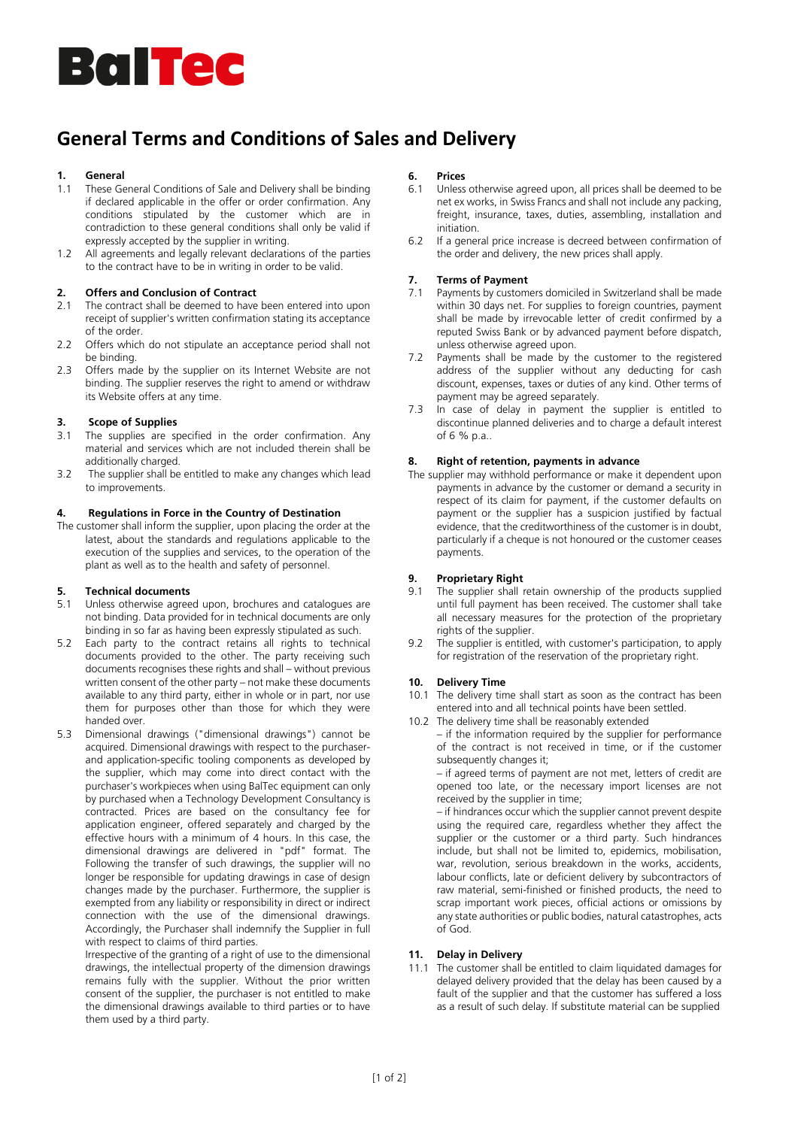# **Baltec**

# **General Terms and Conditions of Sales and Delivery**

# **1. General**

- These General Conditions of Sale and Delivery shall be binding if declared applicable in the offer or order confirmation. Any conditions stipulated by the customer which are in contradiction to these general conditions shall only be valid if expressly accepted by the supplier in writing.
- 1.2 All agreements and legally relevant declarations of the parties to the contract have to be in writing in order to be valid.

# **2. Offers and Conclusion of Contract**

- 2.1 The contract shall be deemed to have been entered into upon receipt of supplier's written confirmation stating its acceptance of the order.
- 2.2 Offers which do not stipulate an acceptance period shall not be binding.
- 2.3 Offers made by the supplier on its Internet Website are not binding. The supplier reserves the right to amend or withdraw its Website offers at any time.

## **3. Scope of Supplies**

- 3.1 The supplies are specified in the order confirmation. Any material and services which are not included therein shall be additionally charged.
- 3.2 The supplier shall be entitled to make any changes which lead to improvements.

#### **4. Regulations in Force in the Country of Destination**

The customer shall inform the supplier, upon placing the order at the latest, about the standards and regulations applicable to the execution of the supplies and services, to the operation of the plant as well as to the health and safety of personnel.

#### **5. Technical documents**

- 5.1 Unless otherwise agreed upon, brochures and catalogues are not binding. Data provided for in technical documents are only binding in so far as having been expressly stipulated as such.
- 5.2 Each party to the contract retains all rights to technical documents provided to the other. The party receiving such documents recognises these rights and shall – without previous written consent of the other party – not make these documents available to any third party, either in whole or in part, nor use them for purposes other than those for which they were handed over.
- 5.3 Dimensional drawings ("dimensional drawings") cannot be acquired. Dimensional drawings with respect to the purchaserand application-specific tooling components as developed by the supplier, which may come into direct contact with the purchaser's workpieces when using BalTec equipment can only by purchased when a Technology Development Consultancy is contracted. Prices are based on the consultancy fee for application engineer, offered separately and charged by the effective hours with a minimum of 4 hours. In this case, the dimensional drawings are delivered in "pdf" format. The Following the transfer of such drawings, the supplier will no longer be responsible for updating drawings in case of design changes made by the purchaser. Furthermore, the supplier is exempted from any liability or responsibility in direct or indirect connection with the use of the dimensional drawings. Accordingly, the Purchaser shall indemnify the Supplier in full with respect to claims of third parties.

Irrespective of the granting of a right of use to the dimensional drawings, the intellectual property of the dimension drawings remains fully with the supplier. Without the prior written consent of the supplier, the purchaser is not entitled to make the dimensional drawings available to third parties or to have them used by a third party.

# **6. Prices**

- Unless otherwise agreed upon, all prices shall be deemed to be net ex works, in Swiss Francs and shall not include any packing, freight, insurance, taxes, duties, assembling, installation and initiation.
- 6.2 If a general price increase is decreed between confirmation of the order and delivery, the new prices shall apply.

## **7. Terms of Payment**

- 7.1 Payments by customers domiciled in Switzerland shall be made within 30 days net. For supplies to foreign countries, payment shall be made by irrevocable letter of credit confirmed by a reputed Swiss Bank or by advanced payment before dispatch, unless otherwise agreed upon.
- 7.2 Payments shall be made by the customer to the registered address of the supplier without any deducting for cash discount, expenses, taxes or duties of any kind. Other terms of payment may be agreed separately.
- 7.3 In case of delay in payment the supplier is entitled to discontinue planned deliveries and to charge a default interest of  $6%$  p.a.

## **8. Right of retention, payments in advance**

The supplier may withhold performance or make it dependent upon payments in advance by the customer or demand a security in respect of its claim for payment, if the customer defaults on payment or the supplier has a suspicion justified by factual evidence, that the creditworthiness of the customer is in doubt, particularly if a cheque is not honoured or the customer ceases payments.

#### **9. Proprietary Right**

- 9.1 The supplier shall retain ownership of the products supplied until full payment has been received. The customer shall take all necessary measures for the protection of the proprietary rights of the supplier.
- 9.2 The supplier is entitled, with customer's participation, to apply for registration of the reservation of the proprietary right.

#### **10. Delivery Time**

- 10.1 The delivery time shall start as soon as the contract has been entered into and all technical points have been settled.
- 10.2 The delivery time shall be reasonably extended
	- if the information required by the supplier for performance of the contract is not received in time, or if the customer subsequently changes it:

– if agreed terms of payment are not met, letters of credit are opened too late, or the necessary import licenses are not received by the supplier in time;

– if hindrances occur which the supplier cannot prevent despite using the required care, regardless whether they affect the supplier or the customer or a third party. Such hindrances include, but shall not be limited to, epidemics, mobilisation, war, revolution, serious breakdown in the works, accidents, labour conflicts, late or deficient delivery by subcontractors of raw material, semi-finished or finished products, the need to scrap important work pieces, official actions or omissions by any state authorities or public bodies, natural catastrophes, acts of God.

# **11. Delay in Delivery**

11.1 The customer shall be entitled to claim liquidated damages for delayed delivery provided that the delay has been caused by a fault of the supplier and that the customer has suffered a loss as a result of such delay. If substitute material can be supplied